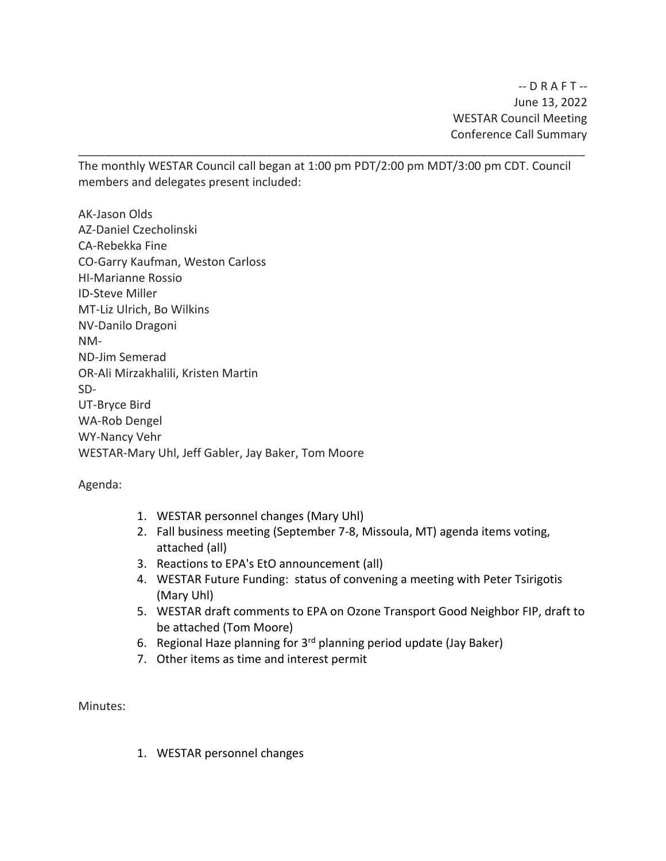$-D R A F T - -$ June 13, 2022 WESTAR Council Meeting Conference Call Summary

The monthly WESTAR Council call began at 1:00 pm PDT/2:00 pm MDT/3:00 pm CDT. Council members and delegates present included:

\_\_\_\_\_\_\_\_\_\_\_\_\_\_\_\_\_\_\_\_\_\_\_\_\_\_\_\_\_\_\_\_\_\_\_\_\_\_\_\_\_\_\_\_\_\_\_\_\_\_\_\_\_\_\_\_\_\_\_\_\_\_\_\_\_\_\_\_\_\_\_\_\_\_\_\_\_\_

AK-Jason Olds AZ-Daniel Czecholinski CA-Rebekka Fine CO-Garry Kaufman, Weston Carloss HI-Marianne Rossio ID-Steve Miller MT-Liz Ulrich, Bo Wilkins NV-Danilo Dragoni NM-ND-Jim Semerad OR-Ali Mirzakhalili, Kristen Martin SD-UT-Bryce Bird WA-Rob Dengel WY-Nancy Vehr WESTAR-Mary Uhl, Jeff Gabler, Jay Baker, Tom Moore

Agenda:

- 1. WESTAR personnel changes (Mary Uhl)
- 2. Fall business meeting (September 7-8, Missoula, MT) agenda items voting, attached (all)
- 3. Reactions to EPA's EtO announcement (all)
- 4. WESTAR Future Funding: status of convening a meeting with Peter Tsirigotis (Mary Uhl)
- 5. WESTAR draft comments to EPA on Ozone Transport Good Neighbor FIP, draft to be attached (Tom Moore)
- 6. Regional Haze planning for 3rd planning period update (Jay Baker)
- 7. Other items as time and interest permit

Minutes:

1. WESTAR personnel changes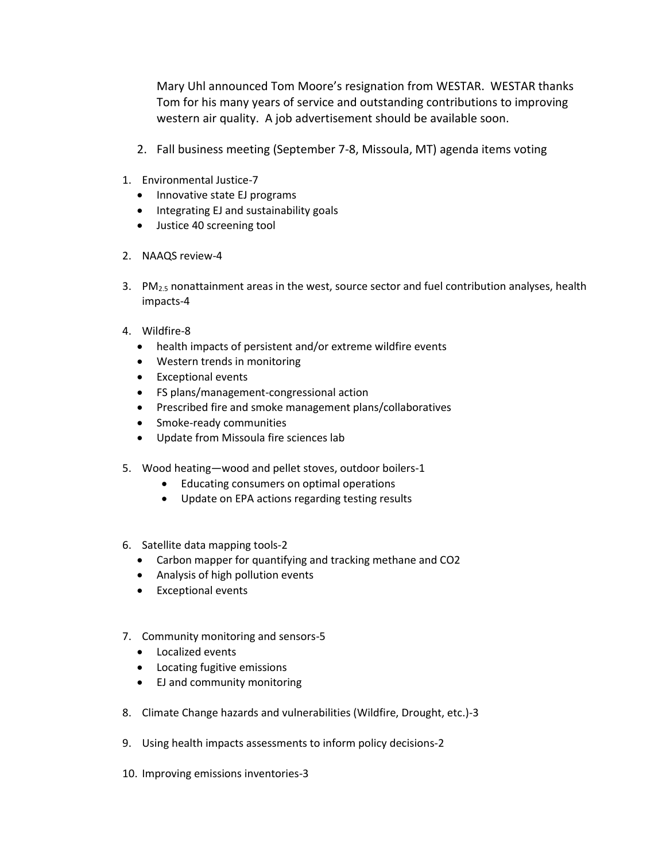Mary Uhl announced Tom Moore's resignation from WESTAR. WESTAR thanks Tom for his many years of service and outstanding contributions to improving western air quality. A job advertisement should be available soon.

- 2. Fall business meeting (September 7-8, Missoula, MT) agenda items voting
- 1. Environmental Justice-7
	- Innovative state EJ programs
	- Integrating EJ and sustainability goals
	- Justice 40 screening tool
- 2. NAAQS review-4
- 3. PM2.5 nonattainment areas in the west, source sector and fuel contribution analyses, health impacts-4
- 4. Wildfire-8
	- health impacts of persistent and/or extreme wildfire events
	- Western trends in monitoring
	- Exceptional events
	- FS plans/management-congressional action
	- Prescribed fire and smoke management plans/collaboratives
	- Smoke-ready communities
	- Update from Missoula fire sciences lab
- 5. Wood heating—wood and pellet stoves, outdoor boilers-1
	- Educating consumers on optimal operations
	- Update on EPA actions regarding testing results
- 6. Satellite data mapping tools-2
	- Carbon mapper for quantifying and tracking methane and CO2
	- Analysis of high pollution events
	- Exceptional events
- 7. Community monitoring and sensors-5
	- Localized events
	- Locating fugitive emissions
	- EJ and community monitoring
- 8. Climate Change hazards and vulnerabilities (Wildfire, Drought, etc.)-3
- 9. Using health impacts assessments to inform policy decisions-2
- 10. Improving emissions inventories-3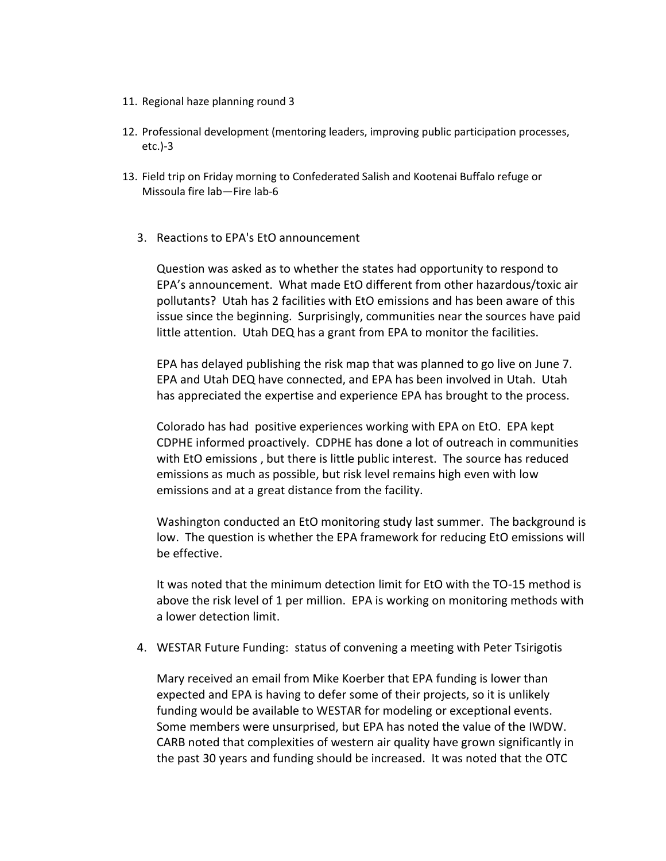- 11. Regional haze planning round 3
- 12. Professional development (mentoring leaders, improving public participation processes, etc.)-3
- 13. Field trip on Friday morning to Confederated Salish and Kootenai Buffalo refuge or Missoula fire lab—Fire lab-6
	- 3. Reactions to EPA's EtO announcement

Question was asked as to whether the states had opportunity to respond to EPA's announcement. What made EtO different from other hazardous/toxic air pollutants? Utah has 2 facilities with EtO emissions and has been aware of this issue since the beginning. Surprisingly, communities near the sources have paid little attention. Utah DEQ has a grant from EPA to monitor the facilities.

EPA has delayed publishing the risk map that was planned to go live on June 7. EPA and Utah DEQ have connected, and EPA has been involved in Utah. Utah has appreciated the expertise and experience EPA has brought to the process.

Colorado has had positive experiences working with EPA on EtO. EPA kept CDPHE informed proactively. CDPHE has done a lot of outreach in communities with EtO emissions , but there is little public interest. The source has reduced emissions as much as possible, but risk level remains high even with low emissions and at a great distance from the facility.

Washington conducted an EtO monitoring study last summer. The background is low. The question is whether the EPA framework for reducing EtO emissions will be effective.

It was noted that the minimum detection limit for EtO with the TO-15 method is above the risk level of 1 per million. EPA is working on monitoring methods with a lower detection limit.

4. WESTAR Future Funding: status of convening a meeting with Peter Tsirigotis

Mary received an email from Mike Koerber that EPA funding is lower than expected and EPA is having to defer some of their projects, so it is unlikely funding would be available to WESTAR for modeling or exceptional events. Some members were unsurprised, but EPA has noted the value of the IWDW. CARB noted that complexities of western air quality have grown significantly in the past 30 years and funding should be increased. It was noted that the OTC